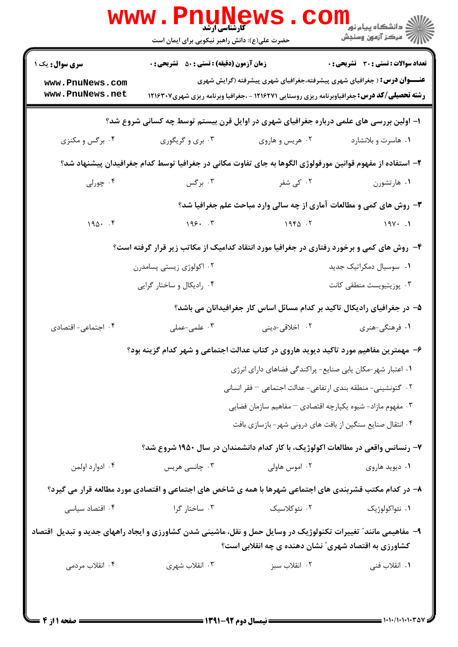|                                                                                                               | <b>www.Pnunews</b><br>حضرت علی(ع): دانش راهبر نیکویی برای ایمان است                                       |                                                                       |                                                                                                              |  |  |  |
|---------------------------------------------------------------------------------------------------------------|-----------------------------------------------------------------------------------------------------------|-----------------------------------------------------------------------|--------------------------------------------------------------------------------------------------------------|--|--|--|
| <b>سری سوال :</b> یک ۱                                                                                        | <b>زمان آزمون (دقیقه) : تستی : 50 ٪ تشریحی : 0</b>                                                        |                                                                       | <b>تعداد سوالات : تستی : 30 ٪ تشریحی : 0</b>                                                                 |  |  |  |
| www.PnuNews.com                                                                                               |                                                                                                           |                                                                       | <b>عنــــوان درس:</b> ( جغرافیای شهری پیشرفته،جغرافیای شهری پیشرفته (گرایش شهری                              |  |  |  |
| www.PnuNews.net                                                                                               |                                                                                                           |                                                                       | <b>رشته تحصیلی/کد درس:</b> جغرافیاوبرنامه ریزی روستایی ۱۲۱۶۲۷۱ - ،جغرافیا وبرنامه ریزی شهری <b>۲</b> ۰۲۱۶۳۰۷ |  |  |  |
| ۱– اولین بررسی های علمی درباره جغرافیای شهری در اوایل قرن بیستم توسط چه کسانی شروع شد؟                        |                                                                                                           |                                                                       |                                                                                                              |  |  |  |
| ۰۴ برگس و مکنزی                                                                                               | ۰۳ بری و گریگوری                                                                                          | ۰۲ هريس و هاروي                                                       | ۰۱ هاسرت و بلانشارد                                                                                          |  |  |  |
|                                                                                                               | ۲– استفاده از مفهوم قوانین مورفولوژی الگوها به جای تفاوت مکانی در جغرافیا توسط کدام جغرافیدان پیشنهاد شد؟ |                                                                       |                                                                                                              |  |  |  |
| ۰۴ چورلی                                                                                                      | ۰۳ برگس                                                                                                   | ۰۲ کی شفر                                                             | ۰۱ هارتشورن                                                                                                  |  |  |  |
|                                                                                                               |                                                                                                           |                                                                       | <b>۳</b> - روش های کمی و مطالعات آماری از چه سالی وارد مباحث علم جغرافیا شد؟                                 |  |  |  |
| $190 - .9$                                                                                                    | 198.7                                                                                                     | $19F\Delta$ .                                                         | $19Y \cdot .1$                                                                                               |  |  |  |
|                                                                                                               | ۴- روش های کمی و برخورد رفتاری در جغرافیا مورد انتقاد کدامیک از مکاتب زیر قرار گرفته است؟                 |                                                                       |                                                                                                              |  |  |  |
|                                                                                                               | ۰۲ اکولوژی زیستی پسامدرن                                                                                  |                                                                       | ۰۱ سوسیال دمکراتیک جدید                                                                                      |  |  |  |
|                                                                                                               | ۰۴ رادیکال و ساختار گرایی                                                                                 |                                                                       | ۰۳ پوزیتیویست منطقی کانت                                                                                     |  |  |  |
|                                                                                                               |                                                                                                           |                                                                       | ۵– در جغرافیای رادیکال تاکید بر کدام مسائل اساس کار جغرافیدانان می باشد؟                                     |  |  |  |
| ۰۴ اجتماعی- اقتصادی                                                                                           | ۰۳ علمی-عملی                                                                                              | ۰۲ اخلاقی-دینی                                                        | ۱. فرهنگی-هنری                                                                                               |  |  |  |
|                                                                                                               | ۶– مهمترین مفاهیم مورد تاکید دیوید هاروی در کتاب عدالت اجتماعی و شهر کدام گزینه بود؟                      |                                                                       |                                                                                                              |  |  |  |
|                                                                                                               |                                                                                                           | ٠١ اعتبار شهر-مكان يابي صنايع- پراكندگي فضاهاي داراي انرژي            |                                                                                                              |  |  |  |
|                                                                                                               |                                                                                                           | ۰۲ گتونشینی- منطقه بندی ارتفاعی- عدالت اجتماعی – فقر انسانی           |                                                                                                              |  |  |  |
|                                                                                                               |                                                                                                           | ۰۳ مفهوم مازاد- شیوه یکپارچه اقتصادی <sup>—</sup> مفاهیم سازمان فضایی |                                                                                                              |  |  |  |
|                                                                                                               |                                                                                                           | ۰۴ انتقال صنایع سنگین از بافت های درونی شهر- بازسازی بافت             |                                                                                                              |  |  |  |
|                                                                                                               | ۷– رنسانس واقعی در مطالعات اکولوژیک، با کار کدام دانشمندان در سال ۱۹۵۰ شروع شد؟                           |                                                                       |                                                                                                              |  |  |  |
| ۰۴ ادوارد اولمن                                                                                               | ۰۳ چانسی هریس                                                                                             | ۰۲ اموس هاولی                                                         | ۰۱ دیوید هاروی                                                                                               |  |  |  |
| ۸– در کدام مکتب قشربندی های اجتماعی شهرها با همه ی شاخص های اجتماعی و اقتصادی مورد مطالعه قرار می گیرد؟       |                                                                                                           |                                                                       |                                                                                                              |  |  |  |
| ۰۴ اقتصاد سیاسی                                                                                               | ۰۳ ساختار گرا                                                                                             | ۰۲ نئوکلاسیک                                                          | ۰۱ نئواکولوژیک                                                                                               |  |  |  |
| ۹- مفاهیمی مانند" تغییرات تکنولوژیک در وسایل حمل و نقل، ماشینی شدن کشاورزی و ایجاد راههای جدید و تبدیل  قتصاد |                                                                                                           |                                                                       |                                                                                                              |  |  |  |
|                                                                                                               |                                                                                                           | کشاورزی به اقتصاد شهری ؒ نشان دهنده ی چه انقلابی است؟                 |                                                                                                              |  |  |  |
| ۰۴ انقلاب مردمی                                                                                               | ۰۳ انقلاب شهری                                                                                            | ۰۲ انقلاب سبز                                                         | ۰۱ انقلاب فنی                                                                                                |  |  |  |
|                                                                                                               |                                                                                                           |                                                                       |                                                                                                              |  |  |  |
|                                                                                                               |                                                                                                           |                                                                       |                                                                                                              |  |  |  |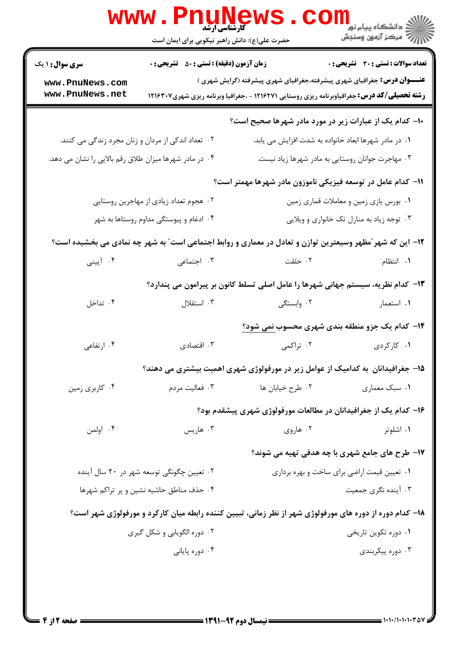|                                                        | حضرت علی(ع): دانش راهبر نیکویی برای ایمان است      | www.Pnunews.com                                                                                                                                                                      |                                                        |  |
|--------------------------------------------------------|----------------------------------------------------|--------------------------------------------------------------------------------------------------------------------------------------------------------------------------------------|--------------------------------------------------------|--|
| <b>سری سوال : ۱ یک</b>                                 | <b>زمان آزمون (دقیقه) : تستی : 50 ٪ تشریحی : 0</b> |                                                                                                                                                                                      | تعداد سوالات : تستي : 30 - تشريحي : 0                  |  |
| www.PnuNews.com<br>www.PnuNews.net                     |                                                    | <b>عنـــوان درس:</b> جغرافیای شهری پیشرفته،جغرافیای شهری پیشرفته (گرایش شهری )<br><b>رشته تحصیلی/کد درس:</b> جغرافیاوبرنامه ریزی روستایی ۱۲۱۶۲۷۱ - ،جغرافیا وبرنامه ریزی شهری۱۲۱۶۳۰۷ |                                                        |  |
|                                                        |                                                    | ۱۰- کدام یک از عبارات زیر در مورد مادر شهرها صحیح است؟                                                                                                                               |                                                        |  |
| ۰۲ تعداد اندکی از مردان و زنان مجرد زندگی می کنند.     |                                                    | ۰۱ در مادر شهرها ابعاد خانواده به شدت افزایش می یابد.                                                                                                                                |                                                        |  |
| ۰۴ در مادر شهرها میزان طلاق رقم بالایی را نشان می دهد. |                                                    |                                                                                                                                                                                      | ۰۳ مهاجرت جوانان روستایی به مادر شهرها زیاد نیست.      |  |
|                                                        |                                                    | 11– کدام عامل در توسعه فیزیکی ناموزون مادر شهرها مهمتر است؟                                                                                                                          |                                                        |  |
|                                                        | ۰۲ هجوم تعداد زیادی از مهاجرین روستایی             |                                                                                                                                                                                      | ۰۱ بورس بازی زمین و معاملات قماری زمین                 |  |
| ۰۴ ادغام و پیوستگی مداوم روستاها به شهر                |                                                    | ۰۳ توجه زیاد به منازل تک خانواری و ویلایی                                                                                                                                            |                                                        |  |
|                                                        |                                                    | ۱۲– این که شهر ٌمظهر وسیعترین توازن و تعادل در معماری و روابط اجتماعی است ؒ به شهر چه نمادی می بخشیده است؟                                                                           |                                                        |  |
| ۰۴ آیینی                                               | ۰۳ اجتماعی                                         | ٢. خلقت                                                                                                                                                                              | ۰۱ انتظام                                              |  |
|                                                        |                                                    | ۱۳– کدام نظریه، سیستم جهانی شهرها را عامل اصلی تسلط کانون بر پیرامون می پندارد؟                                                                                                      |                                                        |  |
| ۰۴ تداخل                                               | ۰۳ استقلال                                         | ۰۲ وابستگی                                                                                                                                                                           | ۰۱ استعمار                                             |  |
|                                                        |                                                    |                                                                                                                                                                                      | <b>۱۴</b> - کدام یک جزو منطقه بندی شهری محسوب نمی شود؟ |  |
| ۰۴ ارتفاعی                                             | ۰۳ اقتصادی                                         | ۰۲ تراکمی                                                                                                                                                                            | ۰۱ کارکردی                                             |  |
|                                                        |                                                    | ۱۵– جغرافیدانان به کدامیک از عوامل زیر در مورفولوژی شهری اهمیت بیشتری می دهند؟                                                                                                       |                                                        |  |
| ۰۴ کاربری زمین                                         | ۰۳ فعالیت مردم                                     | ۰۲ طرح خیابان ها                                                                                                                                                                     | ۰۱ سبک معماری                                          |  |
|                                                        |                                                    | ۱۶– کدام یک از جغرافیدانان در مطالعات مورفولوژی شهری پیشقدم بود؟                                                                                                                     |                                                        |  |
| ۰۴ اولمن                                               | ۰۳ هاریس                                           | ۰۲ هاروي                                                                                                                                                                             | ۰۱ اشلوتر                                              |  |
|                                                        |                                                    |                                                                                                                                                                                      | ۱۷- طرح های جامع شهری با چه هدفی تهیه می شوند؟         |  |
| ۰۲ تعیین چگونگی توسعه شهر در ۲۰ سال آینده              |                                                    | ۰۱ تعیین قیمت اراضی برای ساخت و بهره برداری                                                                                                                                          |                                                        |  |
| ۰۴ حذف مناطق حاشیه نشین و پر تراکم شهرها               |                                                    |                                                                                                                                                                                      | ۰۳ آینده نگری جمعیت                                    |  |
|                                                        |                                                    | ۱۸– کدام دوره از دوره های مورفولوژی شهر از نظر زمانی، تبیین کننده رابطه میان کارکرد و مورفولوژی شهر است؟                                                                             |                                                        |  |
| ۰۲ دوره الگویابی و شکل گیری                            |                                                    |                                                                                                                                                                                      | ۰۱ دوره تکوین تاریخی                                   |  |
|                                                        | ۰۴ دوره پایانی                                     |                                                                                                                                                                                      | ۰۳ دوره پیکربندی                                       |  |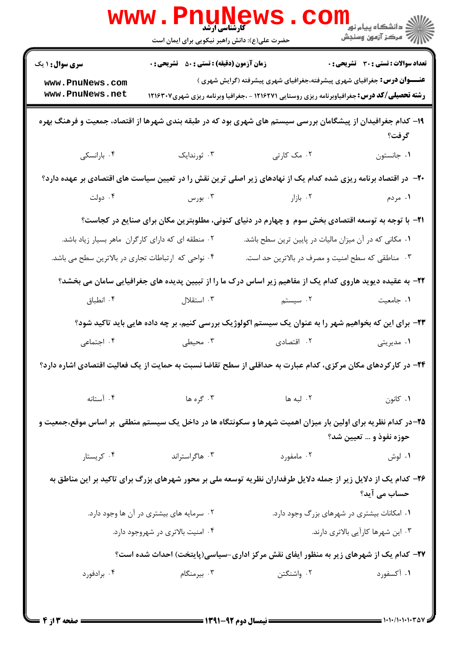|                                                                                                                                         | <b>www.PnuNews</b><br><b>گارشناسی ارشد</b><br>حضرت علی(ع): دانش راهبر نیکویی برای ایمان است |                                                                                                                                                                                      |                                              |  |  |
|-----------------------------------------------------------------------------------------------------------------------------------------|---------------------------------------------------------------------------------------------|--------------------------------------------------------------------------------------------------------------------------------------------------------------------------------------|----------------------------------------------|--|--|
| <b>سری سوال : ۱ یک</b>                                                                                                                  | <b>زمان آزمون (دقیقه) : تستی : 50 ٪ تشریحی : 0</b>                                          |                                                                                                                                                                                      | <b>تعداد سوالات : تستي : 30 ٪ تشريحي : 0</b> |  |  |
| www.PnuNews.com<br>www.PnuNews.net                                                                                                      |                                                                                             | <b>عنـــوان درس:</b> جغرافیای شهری پیشرفته،جغرافیای شهری پیشرفته (گرایش شهری )<br><b>رشته تحصیلی/کد درس:</b> جغرافیاوبرنامه ریزی روستایی ۱۲۱۶۲۷۱ - ،جغرافیا وبرنامه ریزی شهری۱۲۱۶۳۰۷ |                                              |  |  |
| ۱۹– کدام جغرافیدان از پیشگامان بررسی سیستم های شهری بود که در طبقه بندی شهرها از اقتصاد، جمعیت و فرهنگ بهره<br>گرفت؟                    |                                                                                             |                                                                                                                                                                                      |                                              |  |  |
| ۰۴ بارانسکی                                                                                                                             | ۰۳ ژورندایک                                                                                 | ۰۲ مک کارتی                                                                                                                                                                          | ٠١. جانستون                                  |  |  |
|                                                                                                                                         |                                                                                             | +۲- در اقتصاد برنامه ریزی شده کدام یک از نهادهای زیر اصلی ترین نقش را در تعیین سیاست های اقتصادی بر عهده دارد؟                                                                       |                                              |  |  |
|                                                                                                                                         | ۰۳ بورس میسی دولت                                                                           | ۰۲ بازار میباشد.                                                                                                                                                                     | ۰۱ مردم                                      |  |  |
|                                                                                                                                         |                                                                                             | <b>۲۱</b> - با توجه به توسعه اقتصادی بخش سوم ًو چهارم در دنیای کنونی، مطلوبترین مکان برای صنایع در کجاست؟                                                                            |                                              |  |  |
| ۰۲ منطقه ای که دارای کارگران ماهر بسیار زیاد باشد.                                                                                      |                                                                                             | ۰۱ مکانی که در آن میزان مالیات در پایین ترین سطح باشد.                                                                                                                               |                                              |  |  |
| ۰۴ نواحی که ارتباطات تجاری در بالاترین سطح می باشد.                                                                                     |                                                                                             | ۰۳ مناطقی که سطح امنیت و مصرف در بالاترین حد است.                                                                                                                                    |                                              |  |  |
|                                                                                                                                         |                                                                                             | ۲۲- به عقیده دیوید هاروی کدام یک از مفاهیم زیر اساس درک ما را از تبیین پدیده های جغرافیایی سامان می بخشد؟                                                                            |                                              |  |  |
| ۰۴ انطباق                                                                                                                               | استقلال $\cdot$ "                                                                           | ۰۲ سیستم                                                                                                                                                                             | ۰۱ جامعیت                                    |  |  |
|                                                                                                                                         |                                                                                             | ۲۳– برای این که بخواهیم شهر را به عنوان یک سیستم اکولوژیک بررسی کنیم، بر چه داده هایی باید تاکید شود؟                                                                                |                                              |  |  |
| ۰۴ اجتماعی                                                                                                                              | ۰۳ محیطی                                                                                    | ۰۲ اقتصادی                                                                                                                                                                           | ۰۱ مدیریتی                                   |  |  |
| ۲۴– در کارکردهای مکان مرکزی، کدام عبارت به حداقلی از سطح تقاضا نسبت به حمایت از یک فعالیت اقتصادی اشاره دارد؟                           |                                                                                             |                                                                                                                                                                                      |                                              |  |  |
| ۰۴ آستانه                                                                                                                               | ۰۳ گره ها                                                                                   | ۰۲ لبه ها                                                                                                                                                                            | ۰۱ کانون                                     |  |  |
| ۲۵–در کدام نظریه برای اولین بار میزان اهمیت شهرها و سکونتگاه ها در داخل یک سیستم منطقی ًبر اساس موقع،جمعیت و<br>حوزه نفوذ و … تعیین شد؟ |                                                                                             |                                                                                                                                                                                      |                                              |  |  |
| ۰۴ کریستار                                                                                                                              | ۰۳ هاگراستراند                                                                              | ۰۲ مامفورد                                                                                                                                                                           | ۰۱ لوش                                       |  |  |
| ۲۶– کدام یک از دلایل زیر از جمله دلایل طرفداران نظریه توسعه ملی بر محور شهرهای بزرگ برای تاکید بر این مناطق به<br>حساب می آید؟          |                                                                                             |                                                                                                                                                                                      |                                              |  |  |
| ۰۲ سرمایه های بیشتری در آن ها وجود دارد.                                                                                                |                                                                                             | ۰۱ امکانات بیشتری در شهرهای بزرگ وجود دارد.                                                                                                                                          |                                              |  |  |
| ۰۴ امنیت بالاتری در شهروجود دارد.                                                                                                       |                                                                                             | ۰۳ این شهرها کارآیی بالاتری دارند.                                                                                                                                                   |                                              |  |  |
| ۲۷– کدام یک از شهرهای زیر به منظور ایفای نقش مرکز اداری-سیاسی(پایتخت) احداث شده است؟                                                    |                                                                                             |                                                                                                                                                                                      |                                              |  |  |
| ۰۴ برادفورد                                                                                                                             | ۰۳ بیرمنگام                                                                                 | ۰۲ واشنگتن                                                                                                                                                                           | ۰۱ آکسفورد                                   |  |  |
|                                                                                                                                         |                                                                                             |                                                                                                                                                                                      |                                              |  |  |